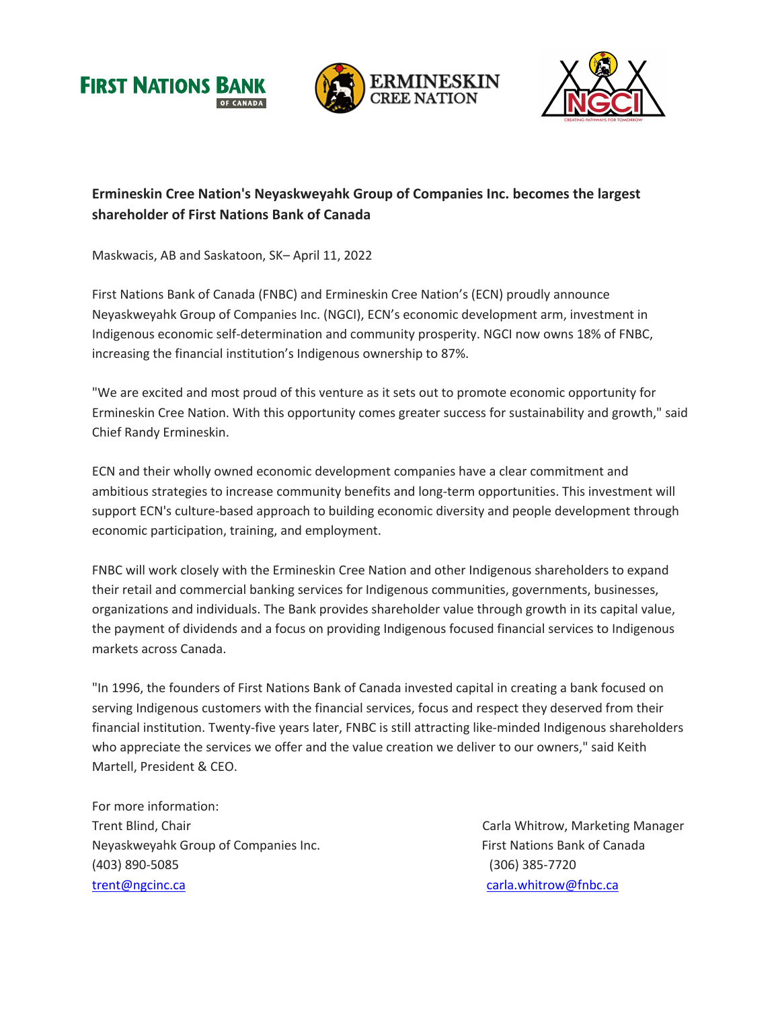





## **Ermineskin Cree Nation's Neyaskweyahk Group of Companies Inc. becomes the largest shareholder of First Nations Bank of Canada**

Maskwacis, AB and Saskatoon, SK– April 11, 2022

First Nations Bank of Canada (FNBC) and Ermineskin Cree Nation's (ECN) proudly announce Neyaskweyahk Group of Companies Inc. (NGCI), ECN's economic development arm, investment in Indigenous economic self-determination and community prosperity. NGCI now owns 18% of FNBC, increasing the financial institution's Indigenous ownership to 87%.

"We are excited and most proud of this venture as it sets out to promote economic opportunity for Ermineskin Cree Nation. With this opportunity comes greater success for sustainability and growth," said Chief Randy Ermineskin.

ECN and their wholly owned economic development companies have a clear commitment and ambitious strategies to increase community benefits and long-term opportunities. This investment will support ECN's culture-based approach to building economic diversity and people development through economic participation, training, and employment.

FNBC will work closely with the Ermineskin Cree Nation and other Indigenous shareholders to expand their retail and commercial banking services for Indigenous communities, governments, businesses, organizations and individuals. The Bank provides shareholder value through growth in its capital value, the payment of dividends and a focus on providing Indigenous focused financial services to Indigenous markets across Canada.

"In 1996, the founders of First Nations Bank of Canada invested capital in creating a bank focused on serving Indigenous customers with the financial services, focus and respect they deserved from their financial institution. Twenty-five years later, FNBC is still attracting like-minded Indigenous shareholders who appreciate the services we offer and the value creation we deliver to our owners," said Keith Martell, President & CEO.

For more information: Trent Blind, Chair Chair Chair Chair Carla Whitrow, Marketing Manager Neyaskweyahk Group of Companies Inc. The South of Canada First Nations Bank of Canada (403) 890-5085 (306) 385-7720 trent@ngcinc.ca carela.whitrow@fnbc.ca